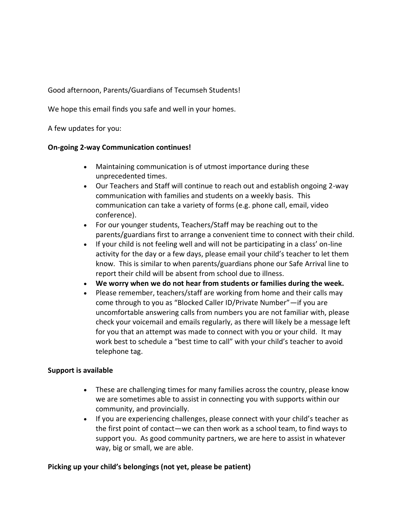Good afternoon, Parents/Guardians of Tecumseh Students!

We hope this email finds you safe and well in your homes.

A few updates for you:

## **On-going 2-way Communication continues!**

- Maintaining communication is of utmost importance during these unprecedented times.
- Our Teachers and Staff will continue to reach out and establish ongoing 2-way communication with families and students on a weekly basis. This communication can take a variety of forms (e.g. phone call, email, video conference).
- For our younger students, Teachers/Staff may be reaching out to the parents/guardians first to arrange a convenient time to connect with their child.
- If your child is not feeling well and will not be participating in a class' on-line activity for the day or a few days, please email your child's teacher to let them know. This is similar to when parents/guardians phone our Safe Arrival line to report their child will be absent from school due to illness.
- **We worry when we do not hear from students or families during the week.**
- Please remember, teachers/staff are working from home and their calls may come through to you as "Blocked Caller ID/Private Number"—if you are uncomfortable answering calls from numbers you are not familiar with, please check your voicemail and emails regularly, as there will likely be a message left for you that an attempt was made to connect with you or your child. It may work best to schedule a "best time to call" with your child's teacher to avoid telephone tag.

## **Support is available**

- These are challenging times for many families across the country, please know we are sometimes able to assist in connecting you with supports within our community, and provincially.
- If you are experiencing challenges, please connect with your child's teacher as the first point of contact—we can then work as a school team, to find ways to support you. As good community partners, we are here to assist in whatever way, big or small, we are able.

## **Picking up your child's belongings (not yet, please be patient)**